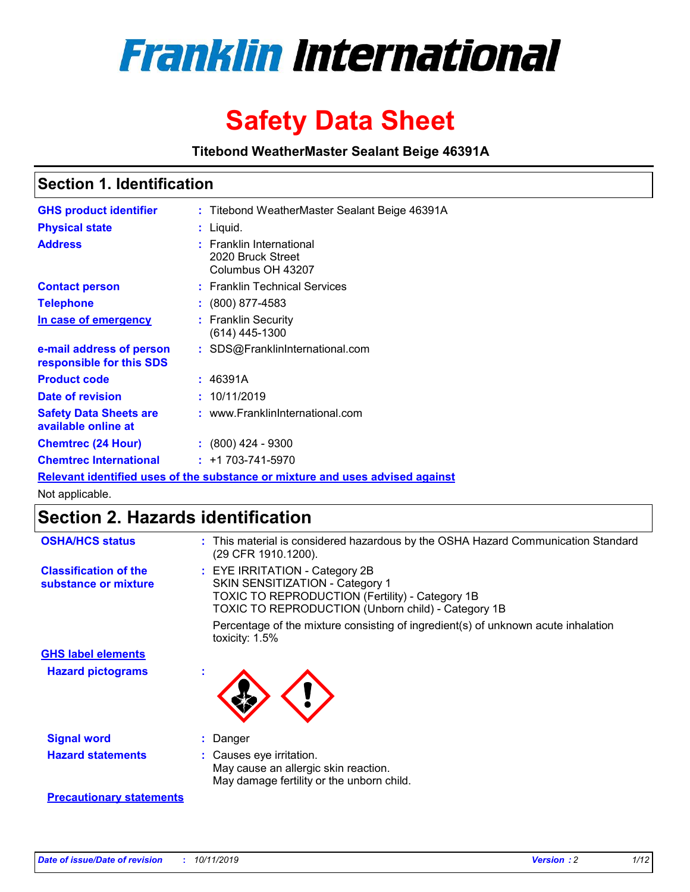

# **Safety Data Sheet**

**Titebond WeatherMaster Sealant Beige 46391A**

## **Section 1. Identification**

| <b>GHS product identifier</b>                                                 |  | : Titebond WeatherMaster Sealant Beige 46391A                           |  |  |  |
|-------------------------------------------------------------------------------|--|-------------------------------------------------------------------------|--|--|--|
| <b>Physical state</b>                                                         |  | : Liquid.                                                               |  |  |  |
| <b>Address</b>                                                                |  | <b>Franklin International</b><br>2020 Bruck Street<br>Columbus OH 43207 |  |  |  |
| <b>Contact person</b>                                                         |  | : Franklin Technical Services                                           |  |  |  |
| <b>Telephone</b>                                                              |  | : (800) 877-4583                                                        |  |  |  |
| In case of emergency                                                          |  | : Franklin Security<br>$(614)$ 445-1300                                 |  |  |  |
| e-mail address of person<br>responsible for this SDS                          |  | : SDS@FranklinInternational.com                                         |  |  |  |
| <b>Product code</b>                                                           |  | : 46391A                                                                |  |  |  |
| Date of revision                                                              |  | : 10/11/2019                                                            |  |  |  |
| <b>Safety Data Sheets are</b><br>available online at                          |  | : www.FranklinInternational.com                                         |  |  |  |
| <b>Chemtrec (24 Hour)</b>                                                     |  | $\div$ (800) 424 - 9300                                                 |  |  |  |
| <b>Chemtrec International</b>                                                 |  | $: +1703 - 741 - 5970$                                                  |  |  |  |
| Relevant identified uses of the substance or mixture and uses advised against |  |                                                                         |  |  |  |

Not applicable.

# **Section 2. Hazards identification**

| <b>OSHA/HCS status</b>                               | : This material is considered hazardous by the OSHA Hazard Communication Standard<br>(29 CFR 1910.1200).                                                                                 |
|------------------------------------------------------|------------------------------------------------------------------------------------------------------------------------------------------------------------------------------------------|
| <b>Classification of the</b><br>substance or mixture | : EYE IRRITATION - Category 2B<br>SKIN SENSITIZATION - Category 1<br><b>TOXIC TO REPRODUCTION (Fertility) - Category 1B</b><br><b>TOXIC TO REPRODUCTION (Unborn child) - Category 1B</b> |
|                                                      | Percentage of the mixture consisting of ingredient(s) of unknown acute inhalation<br>toxicity: $1.5\%$                                                                                   |
| <b>GHS label elements</b>                            |                                                                                                                                                                                          |
| <b>Hazard pictograms</b>                             |                                                                                                                                                                                          |
| <b>Signal word</b>                                   | : Danger                                                                                                                                                                                 |
| <b>Hazard statements</b>                             | : Causes eye irritation.<br>May cause an allergic skin reaction.<br>May damage fertility or the unborn child.                                                                            |
| <b>Precautionary statements</b>                      |                                                                                                                                                                                          |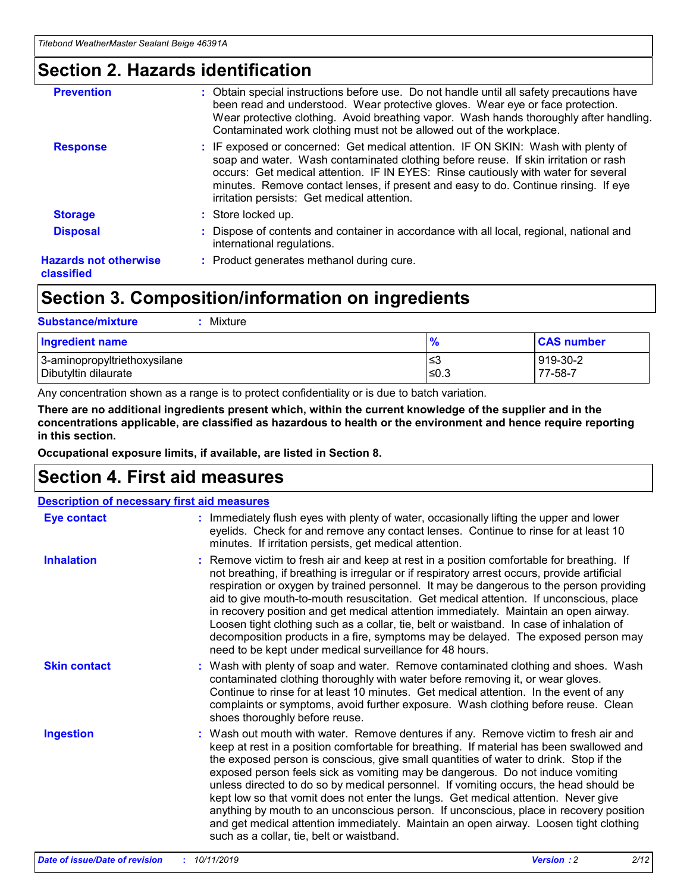## **Section 2. Hazards identification**

| <b>Prevention</b>                          | : Obtain special instructions before use. Do not handle until all safety precautions have<br>been read and understood. Wear protective gloves. Wear eye or face protection.<br>Wear protective clothing. Avoid breathing vapor. Wash hands thoroughly after handling.<br>Contaminated work clothing must not be allowed out of the workplace.                                                        |
|--------------------------------------------|------------------------------------------------------------------------------------------------------------------------------------------------------------------------------------------------------------------------------------------------------------------------------------------------------------------------------------------------------------------------------------------------------|
| <b>Response</b>                            | : IF exposed or concerned: Get medical attention. IF ON SKIN: Wash with plenty of<br>soap and water. Wash contaminated clothing before reuse. If skin irritation or rash<br>occurs: Get medical attention. IF IN EYES: Rinse cautiously with water for several<br>minutes. Remove contact lenses, if present and easy to do. Continue rinsing. If eye<br>irritation persists: Get medical attention. |
| <b>Storage</b>                             | : Store locked up.                                                                                                                                                                                                                                                                                                                                                                                   |
| <b>Disposal</b>                            | : Dispose of contents and container in accordance with all local, regional, national and<br>international regulations.                                                                                                                                                                                                                                                                               |
| <b>Hazards not otherwise</b><br>classified | : Product generates methanol during cure.                                                                                                                                                                                                                                                                                                                                                            |
|                                            |                                                                                                                                                                                                                                                                                                                                                                                                      |

# **Section 3. Composition/information on ingredients**

| <b>Substance/mixture</b><br>Mixture                  |                   |                     |
|------------------------------------------------------|-------------------|---------------------|
| <b>Ingredient name</b>                               | $\frac{9}{6}$     | <b>CAS number</b>   |
| 3-aminopropyltriethoxysilane<br>Dibutyltin dilaurate | l≤3<br>$\leq 0.3$ | 919-30-2<br>77-58-7 |

Any concentration shown as a range is to protect confidentiality or is due to batch variation.

**There are no additional ingredients present which, within the current knowledge of the supplier and in the concentrations applicable, are classified as hazardous to health or the environment and hence require reporting in this section.**

**Occupational exposure limits, if available, are listed in Section 8.**

# **Section 4. First aid measures**

| <b>Description of necessary first aid measures</b> |                                                                                                                                                                                                                                                                                                                                                                                                                                                                                                                                                                                                                                                                                                                                                                           |  |  |  |
|----------------------------------------------------|---------------------------------------------------------------------------------------------------------------------------------------------------------------------------------------------------------------------------------------------------------------------------------------------------------------------------------------------------------------------------------------------------------------------------------------------------------------------------------------------------------------------------------------------------------------------------------------------------------------------------------------------------------------------------------------------------------------------------------------------------------------------------|--|--|--|
| <b>Eye contact</b>                                 | : Immediately flush eyes with plenty of water, occasionally lifting the upper and lower<br>eyelids. Check for and remove any contact lenses. Continue to rinse for at least 10<br>minutes. If irritation persists, get medical attention.                                                                                                                                                                                                                                                                                                                                                                                                                                                                                                                                 |  |  |  |
| <b>Inhalation</b>                                  | : Remove victim to fresh air and keep at rest in a position comfortable for breathing. If<br>not breathing, if breathing is irregular or if respiratory arrest occurs, provide artificial<br>respiration or oxygen by trained personnel. It may be dangerous to the person providing<br>aid to give mouth-to-mouth resuscitation. Get medical attention. If unconscious, place<br>in recovery position and get medical attention immediately. Maintain an open airway.<br>Loosen tight clothing such as a collar, tie, belt or waistband. In case of inhalation of<br>decomposition products in a fire, symptoms may be delayed. The exposed person may<br>need to be kept under medical surveillance for 48 hours.                                                       |  |  |  |
| <b>Skin contact</b>                                | : Wash with plenty of soap and water. Remove contaminated clothing and shoes. Wash<br>contaminated clothing thoroughly with water before removing it, or wear gloves.<br>Continue to rinse for at least 10 minutes. Get medical attention. In the event of any<br>complaints or symptoms, avoid further exposure. Wash clothing before reuse. Clean<br>shoes thoroughly before reuse.                                                                                                                                                                                                                                                                                                                                                                                     |  |  |  |
| <b>Ingestion</b>                                   | : Wash out mouth with water. Remove dentures if any. Remove victim to fresh air and<br>keep at rest in a position comfortable for breathing. If material has been swallowed and<br>the exposed person is conscious, give small quantities of water to drink. Stop if the<br>exposed person feels sick as vomiting may be dangerous. Do not induce vomiting<br>unless directed to do so by medical personnel. If vomiting occurs, the head should be<br>kept low so that vomit does not enter the lungs. Get medical attention. Never give<br>anything by mouth to an unconscious person. If unconscious, place in recovery position<br>and get medical attention immediately. Maintain an open airway. Loosen tight clothing<br>such as a collar, tie, belt or waistband. |  |  |  |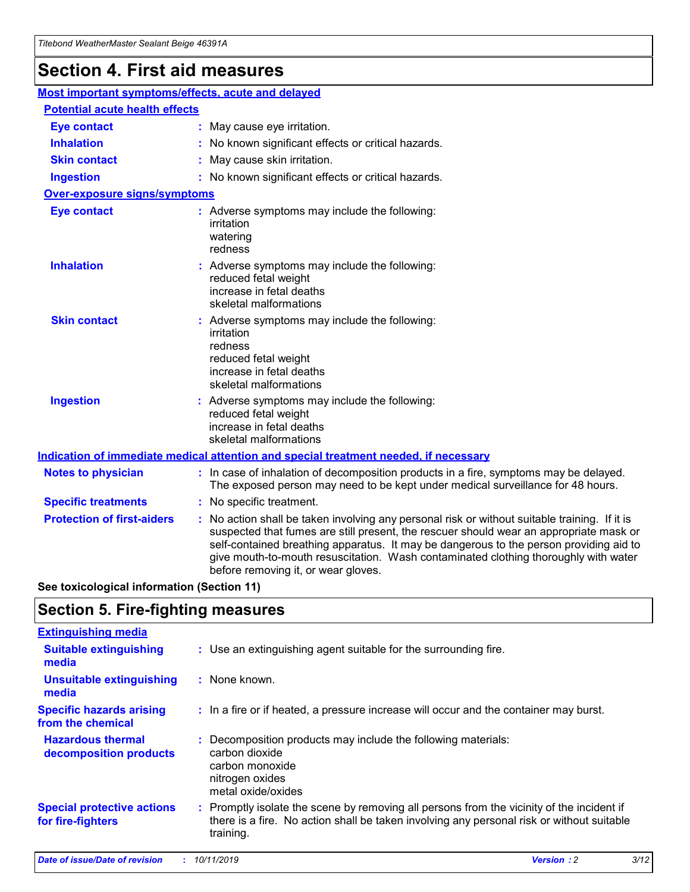# **Section 4. First aid measures**

| Most important symptoms/effects, acute and delayed |                                       |                                                                                                                                                                                                                                                                                                                                                                                                                 |  |  |  |
|----------------------------------------------------|---------------------------------------|-----------------------------------------------------------------------------------------------------------------------------------------------------------------------------------------------------------------------------------------------------------------------------------------------------------------------------------------------------------------------------------------------------------------|--|--|--|
|                                                    | <b>Potential acute health effects</b> |                                                                                                                                                                                                                                                                                                                                                                                                                 |  |  |  |
| <b>Eye contact</b>                                 |                                       | : May cause eye irritation.                                                                                                                                                                                                                                                                                                                                                                                     |  |  |  |
| <b>Inhalation</b>                                  |                                       | : No known significant effects or critical hazards.                                                                                                                                                                                                                                                                                                                                                             |  |  |  |
| <b>Skin contact</b>                                |                                       | : May cause skin irritation.                                                                                                                                                                                                                                                                                                                                                                                    |  |  |  |
| <b>Ingestion</b>                                   |                                       | : No known significant effects or critical hazards.                                                                                                                                                                                                                                                                                                                                                             |  |  |  |
| Over-exposure signs/symptoms                       |                                       |                                                                                                                                                                                                                                                                                                                                                                                                                 |  |  |  |
| <b>Eye contact</b>                                 |                                       | : Adverse symptoms may include the following:<br>irritation<br>watering<br>redness                                                                                                                                                                                                                                                                                                                              |  |  |  |
| <b>Inhalation</b>                                  |                                       | : Adverse symptoms may include the following:<br>reduced fetal weight<br>increase in fetal deaths<br>skeletal malformations                                                                                                                                                                                                                                                                                     |  |  |  |
| <b>Skin contact</b>                                |                                       | : Adverse symptoms may include the following:<br>irritation<br>redness<br>reduced fetal weight<br>increase in fetal deaths<br>skeletal malformations                                                                                                                                                                                                                                                            |  |  |  |
| <b>Ingestion</b>                                   |                                       | : Adverse symptoms may include the following:<br>reduced fetal weight<br>increase in fetal deaths<br>skeletal malformations                                                                                                                                                                                                                                                                                     |  |  |  |
|                                                    |                                       | <b>Indication of immediate medical attention and special treatment needed, if necessary</b>                                                                                                                                                                                                                                                                                                                     |  |  |  |
| <b>Notes to physician</b>                          |                                       | : In case of inhalation of decomposition products in a fire, symptoms may be delayed.<br>The exposed person may need to be kept under medical surveillance for 48 hours.                                                                                                                                                                                                                                        |  |  |  |
| <b>Specific treatments</b>                         |                                       | : No specific treatment.                                                                                                                                                                                                                                                                                                                                                                                        |  |  |  |
| <b>Protection of first-aiders</b>                  |                                       | : No action shall be taken involving any personal risk or without suitable training. If it is<br>suspected that fumes are still present, the rescuer should wear an appropriate mask or<br>self-contained breathing apparatus. It may be dangerous to the person providing aid to<br>give mouth-to-mouth resuscitation. Wash contaminated clothing thoroughly with water<br>before removing it, or wear gloves. |  |  |  |

**See toxicological information (Section 11)**

## **Section 5. Fire-fighting measures**

| <b>Extinguishing media</b>                             |                                                                                                                                                                                                     |
|--------------------------------------------------------|-----------------------------------------------------------------------------------------------------------------------------------------------------------------------------------------------------|
| <b>Suitable extinguishing</b><br>media                 | : Use an extinguishing agent suitable for the surrounding fire.                                                                                                                                     |
| <b>Unsuitable extinguishing</b><br>media               | : None known.                                                                                                                                                                                       |
| <b>Specific hazards arising</b><br>from the chemical   | : In a fire or if heated, a pressure increase will occur and the container may burst.                                                                                                               |
| <b>Hazardous thermal</b><br>decomposition products     | : Decomposition products may include the following materials:<br>carbon dioxide<br>carbon monoxide<br>nitrogen oxides<br>metal oxide/oxides                                                         |
| <b>Special protective actions</b><br>for fire-fighters | : Promptly isolate the scene by removing all persons from the vicinity of the incident if<br>there is a fire. No action shall be taken involving any personal risk or without suitable<br>training. |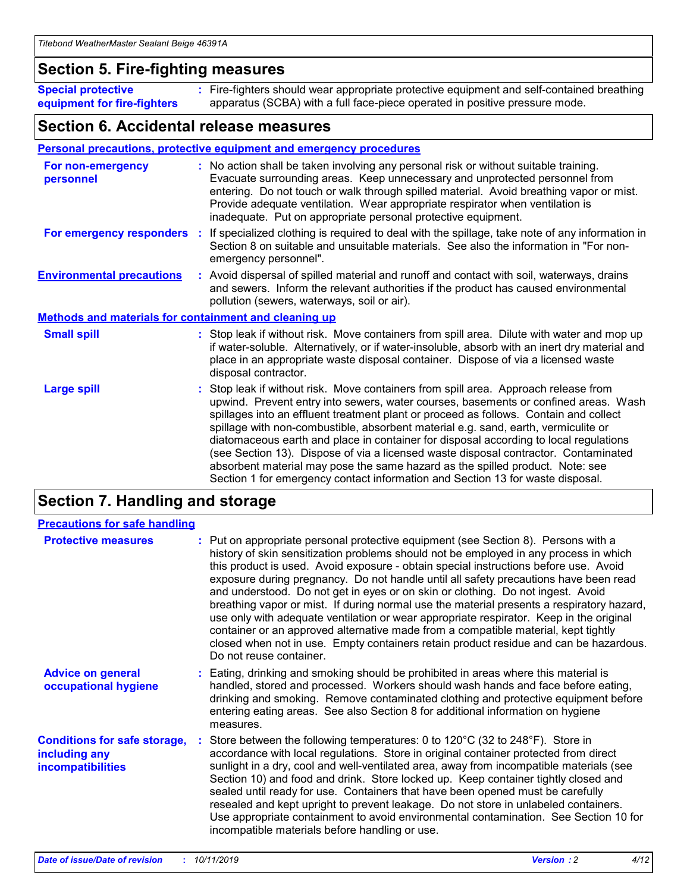## **Section 5. Fire-fighting measures**

**Special protective equipment for fire-fighters** Fire-fighters should wear appropriate protective equipment and self-contained breathing **:** apparatus (SCBA) with a full face-piece operated in positive pressure mode.

## **Section 6. Accidental release measures**

#### **Personal precautions, protective equipment and emergency procedures**

| For non-emergency<br>personnel                               | : No action shall be taken involving any personal risk or without suitable training.<br>Evacuate surrounding areas. Keep unnecessary and unprotected personnel from<br>entering. Do not touch or walk through spilled material. Avoid breathing vapor or mist.<br>Provide adequate ventilation. Wear appropriate respirator when ventilation is<br>inadequate. Put on appropriate personal protective equipment.                                                                                                                                                                                                                                                                                             |
|--------------------------------------------------------------|--------------------------------------------------------------------------------------------------------------------------------------------------------------------------------------------------------------------------------------------------------------------------------------------------------------------------------------------------------------------------------------------------------------------------------------------------------------------------------------------------------------------------------------------------------------------------------------------------------------------------------------------------------------------------------------------------------------|
|                                                              | For emergency responders : If specialized clothing is required to deal with the spillage, take note of any information in<br>Section 8 on suitable and unsuitable materials. See also the information in "For non-<br>emergency personnel".                                                                                                                                                                                                                                                                                                                                                                                                                                                                  |
| <b>Environmental precautions</b>                             | : Avoid dispersal of spilled material and runoff and contact with soil, waterways, drains<br>and sewers. Inform the relevant authorities if the product has caused environmental<br>pollution (sewers, waterways, soil or air).                                                                                                                                                                                                                                                                                                                                                                                                                                                                              |
| <b>Methods and materials for containment and cleaning up</b> |                                                                                                                                                                                                                                                                                                                                                                                                                                                                                                                                                                                                                                                                                                              |
| <b>Small spill</b>                                           | : Stop leak if without risk. Move containers from spill area. Dilute with water and mop up<br>if water-soluble. Alternatively, or if water-insoluble, absorb with an inert dry material and<br>place in an appropriate waste disposal container. Dispose of via a licensed waste<br>disposal contractor.                                                                                                                                                                                                                                                                                                                                                                                                     |
| <b>Large spill</b>                                           | : Stop leak if without risk. Move containers from spill area. Approach release from<br>upwind. Prevent entry into sewers, water courses, basements or confined areas. Wash<br>spillages into an effluent treatment plant or proceed as follows. Contain and collect<br>spillage with non-combustible, absorbent material e.g. sand, earth, vermiculite or<br>diatomaceous earth and place in container for disposal according to local regulations<br>(see Section 13). Dispose of via a licensed waste disposal contractor. Contaminated<br>absorbent material may pose the same hazard as the spilled product. Note: see<br>Section 1 for emergency contact information and Section 13 for waste disposal. |

# **Section 7. Handling and storage**

| <b>Precautions for safe handling</b>                                             |                                                                                                                                                                                                                                                                                                                                                                                                                                                                                                                                                                                                                                                                                                                                                                                                                                                  |
|----------------------------------------------------------------------------------|--------------------------------------------------------------------------------------------------------------------------------------------------------------------------------------------------------------------------------------------------------------------------------------------------------------------------------------------------------------------------------------------------------------------------------------------------------------------------------------------------------------------------------------------------------------------------------------------------------------------------------------------------------------------------------------------------------------------------------------------------------------------------------------------------------------------------------------------------|
| <b>Protective measures</b>                                                       | : Put on appropriate personal protective equipment (see Section 8). Persons with a<br>history of skin sensitization problems should not be employed in any process in which<br>this product is used. Avoid exposure - obtain special instructions before use. Avoid<br>exposure during pregnancy. Do not handle until all safety precautions have been read<br>and understood. Do not get in eyes or on skin or clothing. Do not ingest. Avoid<br>breathing vapor or mist. If during normal use the material presents a respiratory hazard,<br>use only with adequate ventilation or wear appropriate respirator. Keep in the original<br>container or an approved alternative made from a compatible material, kept tightly<br>closed when not in use. Empty containers retain product residue and can be hazardous.<br>Do not reuse container. |
| <b>Advice on general</b><br>occupational hygiene                                 | : Eating, drinking and smoking should be prohibited in areas where this material is<br>handled, stored and processed. Workers should wash hands and face before eating,<br>drinking and smoking. Remove contaminated clothing and protective equipment before<br>entering eating areas. See also Section 8 for additional information on hygiene<br>measures.                                                                                                                                                                                                                                                                                                                                                                                                                                                                                    |
| <b>Conditions for safe storage,</b><br>including any<br><b>incompatibilities</b> | Store between the following temperatures: 0 to $120^{\circ}$ C (32 to $248^{\circ}$ F). Store in<br>accordance with local regulations. Store in original container protected from direct<br>sunlight in a dry, cool and well-ventilated area, away from incompatible materials (see<br>Section 10) and food and drink. Store locked up. Keep container tightly closed and<br>sealed until ready for use. Containers that have been opened must be carefully<br>resealed and kept upright to prevent leakage. Do not store in unlabeled containers.<br>Use appropriate containment to avoid environmental contamination. See Section 10 for<br>incompatible materials before handling or use.                                                                                                                                                     |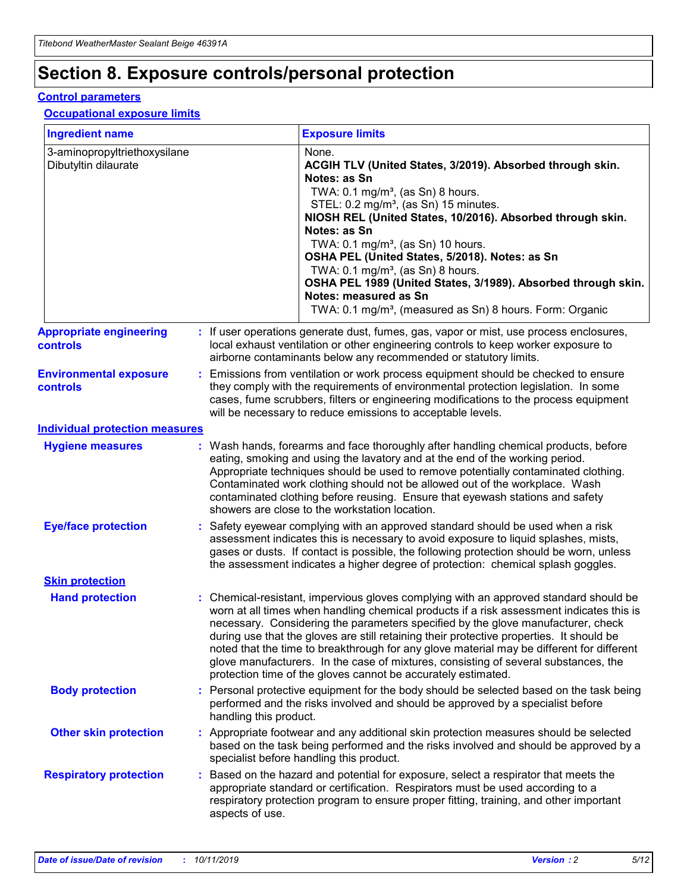# **Section 8. Exposure controls/personal protection**

#### **Control parameters**

### **Occupational exposure limits**

| <b>Ingredient name</b>                               |    |                                          | <b>Exposure limits</b>                                                                                                                                                                                                                                                                                                                                                                                                                                                                                                                                                                                                 |
|------------------------------------------------------|----|------------------------------------------|------------------------------------------------------------------------------------------------------------------------------------------------------------------------------------------------------------------------------------------------------------------------------------------------------------------------------------------------------------------------------------------------------------------------------------------------------------------------------------------------------------------------------------------------------------------------------------------------------------------------|
| 3-aminopropyltriethoxysilane<br>Dibutyltin dilaurate |    |                                          | None.<br>ACGIH TLV (United States, 3/2019). Absorbed through skin.<br>Notes: as Sn<br>TWA: 0.1 mg/m <sup>3</sup> , (as Sn) 8 hours.<br>STEL: 0.2 mg/m <sup>3</sup> , (as Sn) 15 minutes.<br>NIOSH REL (United States, 10/2016). Absorbed through skin.<br>Notes: as Sn<br>TWA: 0.1 mg/m <sup>3</sup> , (as Sn) 10 hours.<br>OSHA PEL (United States, 5/2018). Notes: as Sn<br>TWA: $0.1 \text{ mg/m}^3$ , (as Sn) 8 hours.<br>OSHA PEL 1989 (United States, 3/1989). Absorbed through skin.<br>Notes: measured as Sn<br>TWA: 0.1 mg/m <sup>3</sup> , (measured as Sn) 8 hours. Form: Organic                           |
| <b>Appropriate engineering</b><br>controls           |    |                                          | : If user operations generate dust, fumes, gas, vapor or mist, use process enclosures,<br>local exhaust ventilation or other engineering controls to keep worker exposure to<br>airborne contaminants below any recommended or statutory limits.                                                                                                                                                                                                                                                                                                                                                                       |
| <b>Environmental exposure</b><br><b>controls</b>     |    |                                          | Emissions from ventilation or work process equipment should be checked to ensure<br>they comply with the requirements of environmental protection legislation. In some<br>cases, fume scrubbers, filters or engineering modifications to the process equipment<br>will be necessary to reduce emissions to acceptable levels.                                                                                                                                                                                                                                                                                          |
| <b>Individual protection measures</b>                |    |                                          |                                                                                                                                                                                                                                                                                                                                                                                                                                                                                                                                                                                                                        |
| <b>Hygiene measures</b>                              |    |                                          | : Wash hands, forearms and face thoroughly after handling chemical products, before<br>eating, smoking and using the lavatory and at the end of the working period.<br>Appropriate techniques should be used to remove potentially contaminated clothing.<br>Contaminated work clothing should not be allowed out of the workplace. Wash<br>contaminated clothing before reusing. Ensure that eyewash stations and safety<br>showers are close to the workstation location.                                                                                                                                            |
| <b>Eye/face protection</b>                           |    |                                          | : Safety eyewear complying with an approved standard should be used when a risk<br>assessment indicates this is necessary to avoid exposure to liquid splashes, mists,<br>gases or dusts. If contact is possible, the following protection should be worn, unless<br>the assessment indicates a higher degree of protection: chemical splash goggles.                                                                                                                                                                                                                                                                  |
| <b>Skin protection</b>                               |    |                                          |                                                                                                                                                                                                                                                                                                                                                                                                                                                                                                                                                                                                                        |
| <b>Hand protection</b>                               |    |                                          | : Chemical-resistant, impervious gloves complying with an approved standard should be<br>worn at all times when handling chemical products if a risk assessment indicates this is<br>necessary. Considering the parameters specified by the glove manufacturer, check<br>during use that the gloves are still retaining their protective properties. It should be<br>noted that the time to breakthrough for any glove material may be different for different<br>glove manufacturers. In the case of mixtures, consisting of several substances, the<br>protection time of the gloves cannot be accurately estimated. |
| <b>Body protection</b>                               |    | handling this product.                   | Personal protective equipment for the body should be selected based on the task being<br>performed and the risks involved and should be approved by a specialist before                                                                                                                                                                                                                                                                                                                                                                                                                                                |
| <b>Other skin protection</b>                         |    | specialist before handling this product. | : Appropriate footwear and any additional skin protection measures should be selected<br>based on the task being performed and the risks involved and should be approved by a                                                                                                                                                                                                                                                                                                                                                                                                                                          |
| <b>Respiratory protection</b>                        | ÷. | aspects of use.                          | Based on the hazard and potential for exposure, select a respirator that meets the<br>appropriate standard or certification. Respirators must be used according to a<br>respiratory protection program to ensure proper fitting, training, and other important                                                                                                                                                                                                                                                                                                                                                         |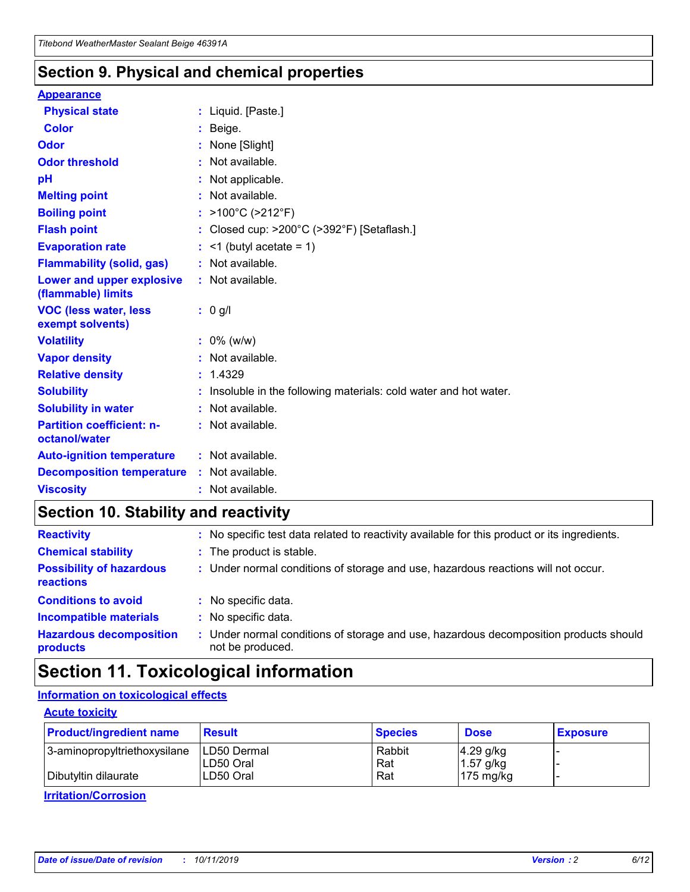## **Section 9. Physical and chemical properties**

#### **Appearance**

| <b>Physical state</b>                             | : Liquid. [Paste.]                                                |
|---------------------------------------------------|-------------------------------------------------------------------|
| Color                                             | Beige.                                                            |
| Odor                                              | None [Slight]                                                     |
| <b>Odor threshold</b>                             | : Not available.                                                  |
| рH                                                | : Not applicable.                                                 |
| <b>Melting point</b>                              | : Not available.                                                  |
| <b>Boiling point</b>                              | : $>100^{\circ}$ C ( $>212^{\circ}$ F)                            |
| <b>Flash point</b>                                | : Closed cup: $>200^{\circ}$ C ( $>392^{\circ}$ F) [Setaflash.]   |
| <b>Evaporation rate</b>                           | $:$ <1 (butyl acetate = 1)                                        |
| <b>Flammability (solid, gas)</b>                  | : Not available.                                                  |
| Lower and upper explosive<br>(flammable) limits   | : Not available.                                                  |
| <b>VOC (less water, less</b><br>exempt solvents)  | $: 0$ g/l                                                         |
| <b>Volatility</b>                                 | $: 0\%$ (w/w)                                                     |
| <b>Vapor density</b>                              | : Not available.                                                  |
| <b>Relative density</b>                           | : 1.4329                                                          |
| <b>Solubility</b>                                 | : Insoluble in the following materials: cold water and hot water. |
| <b>Solubility in water</b>                        | : Not available.                                                  |
| <b>Partition coefficient: n-</b><br>octanol/water | : Not available.                                                  |
| <b>Auto-ignition temperature</b>                  | : Not available.                                                  |
| <b>Decomposition temperature</b>                  | : Not available.                                                  |
| <b>Viscosity</b>                                  | : Not available.                                                  |

# **Section 10. Stability and reactivity**

| <b>Reactivity</b>                            |    | : No specific test data related to reactivity available for this product or its ingredients.            |
|----------------------------------------------|----|---------------------------------------------------------------------------------------------------------|
| <b>Chemical stability</b>                    |    | : The product is stable.                                                                                |
| <b>Possibility of hazardous</b><br>reactions |    | : Under normal conditions of storage and use, hazardous reactions will not occur.                       |
| <b>Conditions to avoid</b>                   |    | : No specific data.                                                                                     |
| <b>Incompatible materials</b>                | ٠. | No specific data.                                                                                       |
| <b>Hazardous decomposition</b><br>products   | ÷. | Under normal conditions of storage and use, hazardous decomposition products should<br>not be produced. |

# **Section 11. Toxicological information**

### **Information on toxicological effects**

#### **Acute toxicity**

| <b>Product/ingredient name</b> | <b>Result</b>           | <b>Species</b> | <b>Dose</b>                | <b>Exposure</b> |
|--------------------------------|-------------------------|----------------|----------------------------|-----------------|
| 3-aminopropyltriethoxysilane   | <b>ILD50 Dermal</b>     | Rabbit         | 4.29 g/kg                  |                 |
| Dibutyltin dilaurate           | ILD50 Oral<br>LD50 Oral | Rat<br>Rat     | $1.57$ g/kg<br>175 $mg/kg$ |                 |
|                                |                         |                |                            |                 |

**Irritation/Corrosion**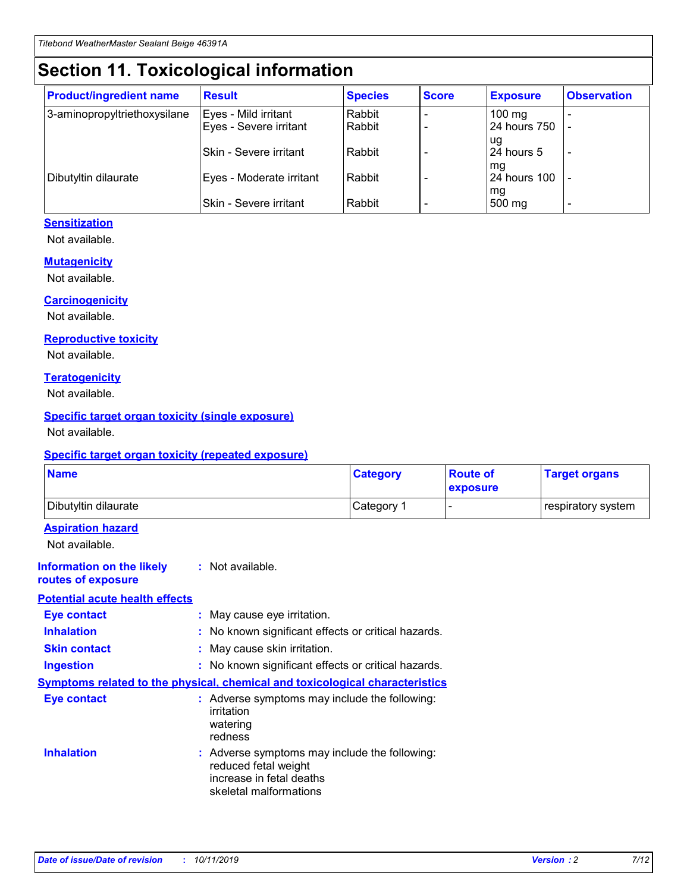# **Section 11. Toxicological information**

| <b>Product/ingredient name</b> | <b>Result</b>            | <b>Species</b> | <b>Score</b> | <b>Exposure</b>           | <b>Observation</b> |
|--------------------------------|--------------------------|----------------|--------------|---------------------------|--------------------|
| 3-aminopropyltriethoxysilane   | Eyes - Mild irritant     | Rabbit         |              | $100$ mg                  |                    |
|                                | Eyes - Severe irritant   | Rabbit         |              | 24 hours 750              |                    |
|                                |                          |                |              | ug                        |                    |
|                                | Skin - Severe irritant   | Rabbit         |              | 24 hours 5                | -                  |
| Dibutyltin dilaurate           | Eyes - Moderate irritant | Rabbit         |              | mq<br><b>24 hours 100</b> |                    |
|                                |                          |                |              | mg                        |                    |
|                                | Skin - Severe irritant   | Rabbit         |              | 500 mg                    |                    |

### **Sensitization**

Not available.

#### **Mutagenicity**

Not available.

#### **Carcinogenicity**

Not available.

#### **Reproductive toxicity**

Not available.

#### **Teratogenicity**

Not available.

#### **Specific target organ toxicity (single exposure)**

Not available.

#### **Specific target organ toxicity (repeated exposure)**

| <b>Name</b>                                                                  |                                                                            | <b>Category</b>                                     | <b>Route of</b><br>exposure | <b>Target organs</b> |
|------------------------------------------------------------------------------|----------------------------------------------------------------------------|-----------------------------------------------------|-----------------------------|----------------------|
| Dibutyltin dilaurate                                                         |                                                                            | Category 1                                          | -                           | respiratory system   |
| <b>Aspiration hazard</b><br>Not available.                                   |                                                                            |                                                     |                             |                      |
| <b>Information on the likely</b><br>routes of exposure                       | : Not available.                                                           |                                                     |                             |                      |
| <b>Potential acute health effects</b>                                        |                                                                            |                                                     |                             |                      |
| <b>Eye contact</b>                                                           | : May cause eye irritation.                                                |                                                     |                             |                      |
| <b>Inhalation</b>                                                            |                                                                            | : No known significant effects or critical hazards. |                             |                      |
| <b>Skin contact</b>                                                          | : May cause skin irritation.                                               |                                                     |                             |                      |
| <b>Ingestion</b>                                                             |                                                                            | : No known significant effects or critical hazards. |                             |                      |
| Symptoms related to the physical, chemical and toxicological characteristics |                                                                            |                                                     |                             |                      |
| <b>Eye contact</b>                                                           | irritation<br>watering<br>redness                                          | : Adverse symptoms may include the following:       |                             |                      |
| <b>Inhalation</b>                                                            | reduced fetal weight<br>increase in fetal deaths<br>skeletal malformations | : Adverse symptoms may include the following:       |                             |                      |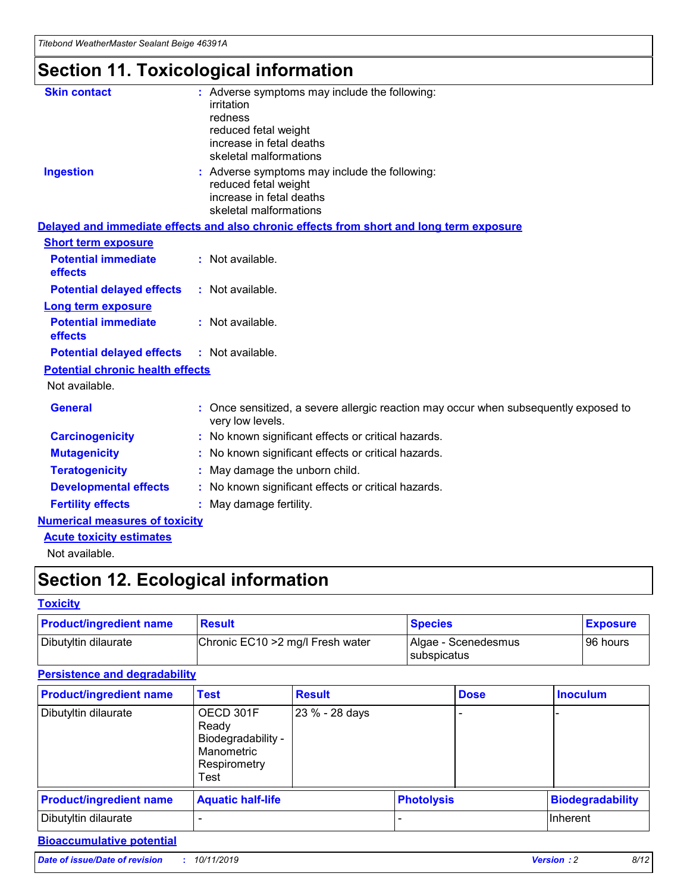# **Section 11. Toxicological information**

| <b>Skin contact</b>                     | : Adverse symptoms may include the following:                                                            |
|-----------------------------------------|----------------------------------------------------------------------------------------------------------|
|                                         | irritation                                                                                               |
|                                         | redness                                                                                                  |
|                                         | reduced fetal weight                                                                                     |
|                                         | increase in fetal deaths                                                                                 |
|                                         | skeletal malformations                                                                                   |
| <b>Ingestion</b>                        | : Adverse symptoms may include the following:                                                            |
|                                         | reduced fetal weight                                                                                     |
|                                         | increase in fetal deaths                                                                                 |
|                                         | skeletal malformations                                                                                   |
|                                         | Delayed and immediate effects and also chronic effects from short and long term exposure                 |
| <b>Short term exposure</b>              |                                                                                                          |
| <b>Potential immediate</b>              | : Not available.                                                                                         |
| effects                                 |                                                                                                          |
| <b>Potential delayed effects</b>        | : Not available.                                                                                         |
| Long term exposure                      |                                                                                                          |
| <b>Potential immediate</b>              | : Not available.                                                                                         |
| effects                                 |                                                                                                          |
| <b>Potential delayed effects</b>        | : Not available.                                                                                         |
| <b>Potential chronic health effects</b> |                                                                                                          |
| Not available.                          |                                                                                                          |
| <b>General</b>                          | : Once sensitized, a severe allergic reaction may occur when subsequently exposed to<br>very low levels. |
| <b>Carcinogenicity</b>                  | : No known significant effects or critical hazards.                                                      |
| <b>Mutagenicity</b>                     | : No known significant effects or critical hazards.                                                      |
| <b>Teratogenicity</b>                   | May damage the unborn child.                                                                             |
| <b>Developmental effects</b>            | : No known significant effects or critical hazards.                                                      |
| <b>Fertility effects</b>                | May damage fertility.                                                                                    |
| <b>Numerical measures of toxicity</b>   |                                                                                                          |
| <b>Acute toxicity estimates</b>         |                                                                                                          |
| الملحلة والمستحقق فالمرابط              |                                                                                                          |

Not available.

# **Section 12. Ecological information**

#### **Toxicity**

| <b>Product/ingredient name</b> | <b>Result</b>                     | <b>Species</b>                       | <b>Exposure</b> |
|--------------------------------|-----------------------------------|--------------------------------------|-----------------|
| Dibutyltin dilaurate           | Chronic EC10 > 2 mg/l Fresh water | Algae - Scenedesmus<br>I subspicatus | l 96 hours i    |

### **Persistence and degradability**

| <b>Product/ingredient name</b> | <b>Test</b>                                                                    | <b>Result</b>  |                   | <b>Dose</b> | <b>Inoculum</b>         |
|--------------------------------|--------------------------------------------------------------------------------|----------------|-------------------|-------------|-------------------------|
| Dibutyltin dilaurate           | OECD 301F<br>Ready<br>Biodegradability -<br>Manometric<br>Respirometry<br>Test | 23 % - 28 days |                   |             |                         |
| <b>Product/ingredient name</b> | <b>Aquatic half-life</b>                                                       |                | <b>Photolysis</b> |             | <b>Biodegradability</b> |
| Dibutyltin dilaurate           |                                                                                |                |                   |             | Inherent                |

### **Bioaccumulative potential**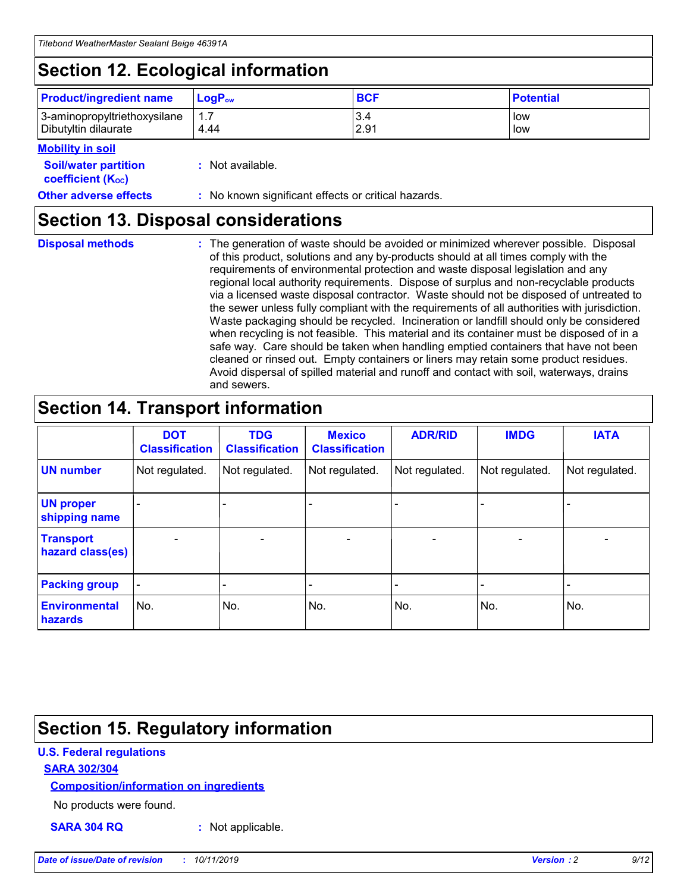# **Section 12. Ecological information**

| <b>Product/ingredient name</b> | $LoaPow$ | <b>BCF</b> | <b>Potential</b> |
|--------------------------------|----------|------------|------------------|
| 3-aminopropyltriethoxysilane   | 1.7      | 3.4        | low              |
| Dibutyltin dilaurate           | 4.44     | 2.91       | low              |

#### **Mobility in soil**

| <i></i>                                                       |                                                     |
|---------------------------------------------------------------|-----------------------------------------------------|
| <b>Soil/water partition</b><br>coefficient (K <sub>oc</sub> ) | : Not available.                                    |
| <b>Other adverse effects</b>                                  | : No known significant effects or critical hazards. |

## **Section 13. Disposal considerations**

**Disposal methods :**

The generation of waste should be avoided or minimized wherever possible. Disposal of this product, solutions and any by-products should at all times comply with the requirements of environmental protection and waste disposal legislation and any regional local authority requirements. Dispose of surplus and non-recyclable products via a licensed waste disposal contractor. Waste should not be disposed of untreated to the sewer unless fully compliant with the requirements of all authorities with jurisdiction. Waste packaging should be recycled. Incineration or landfill should only be considered when recycling is not feasible. This material and its container must be disposed of in a safe way. Care should be taken when handling emptied containers that have not been cleaned or rinsed out. Empty containers or liners may retain some product residues. Avoid dispersal of spilled material and runoff and contact with soil, waterways, drains and sewers.

# **Section 14. Transport information**

|                                      | <b>DOT</b><br><b>Classification</b> | <b>TDG</b><br><b>Classification</b> | <b>Mexico</b><br><b>Classification</b> | <b>ADR/RID</b>               | <b>IMDG</b>    | <b>IATA</b>              |
|--------------------------------------|-------------------------------------|-------------------------------------|----------------------------------------|------------------------------|----------------|--------------------------|
| <b>UN number</b>                     | Not regulated.                      | Not regulated.                      | Not regulated.                         | Not regulated.               | Not regulated. | Not regulated.           |
| <b>UN proper</b><br>shipping name    |                                     |                                     |                                        |                              |                |                          |
| <b>Transport</b><br>hazard class(es) | $\blacksquare$                      | $\overline{\phantom{0}}$            | $\overline{\phantom{a}}$               | $\qquad \qquad \blacksquare$ | $\blacksquare$ | $\overline{\phantom{0}}$ |
| <b>Packing group</b>                 | $\overline{\phantom{a}}$            | -                                   |                                        | -                            |                | -                        |
| <b>Environmental</b><br>hazards      | No.                                 | No.                                 | No.                                    | No.                          | No.            | No.                      |

# **Section 15. Regulatory information**

### **U.S. Federal regulations**

#### **SARA 302/304**

#### **Composition/information on ingredients**

No products were found.

**SARA 304 RQ :** Not applicable.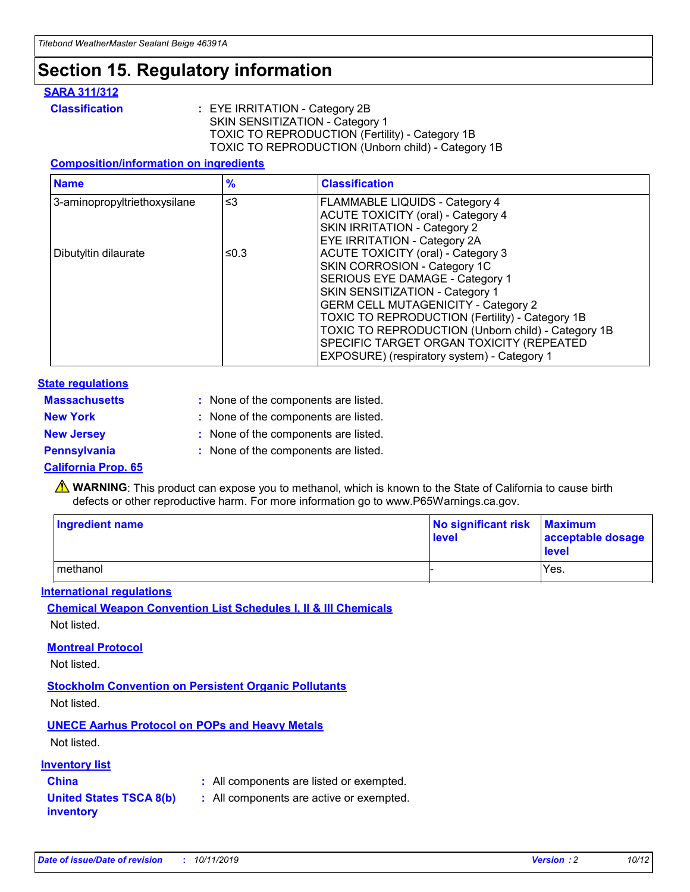# **Section 15. Regulatory information**

#### **SARA 311/312**

**Classification :** EYE IRRITATION - Category 2B SKIN SENSITIZATION - Category 1 TOXIC TO REPRODUCTION (Fertility) - Category 1B TOXIC TO REPRODUCTION (Unborn child) - Category 1B

#### **Composition/information on ingredients**

| <b>Name</b>                  | $\frac{9}{6}$ | <b>Classification</b>                                                                                            |
|------------------------------|---------------|------------------------------------------------------------------------------------------------------------------|
| 3-aminopropyltriethoxysilane | $\leq$ 3      | <b>FLAMMABLE LIQUIDS - Category 4</b><br><b>ACUTE TOXICITY (oral) - Category 4</b>                               |
|                              |               | SKIN IRRITATION - Category 2<br>EYE IRRITATION - Category 2A                                                     |
| Dibutyltin dilaurate         | ≤0.3          | ACUTE TOXICITY (oral) - Category 3<br>SKIN CORROSION - Category 1C                                               |
|                              |               | SERIOUS EYE DAMAGE - Category 1<br>SKIN SENSITIZATION - Category 1<br><b>GERM CELL MUTAGENICITY - Category 2</b> |
|                              |               | TOXIC TO REPRODUCTION (Fertility) - Category 1B<br>TOXIC TO REPRODUCTION (Unborn child) - Category 1B            |
|                              |               | SPECIFIC TARGET ORGAN TOXICITY (REPEATED<br>EXPOSURE) (respiratory system) - Category 1                          |

#### **State regulations**

| <b>Massachusetts</b> | : None of the components are listed. |
|----------------------|--------------------------------------|
| <b>New York</b>      | : None of the components are listed. |
| <b>New Jersey</b>    | : None of the components are listed. |
| <b>Pennsylvania</b>  | : None of the components are listed. |

#### **California Prop. 65**

**A** WARNING: This product can expose you to methanol, which is known to the State of California to cause birth defects or other reproductive harm. For more information go to www.P65Warnings.ca.gov.

| <b>Ingredient name</b> | No significant risk Maximum<br>level | acceptable dosage<br>level |
|------------------------|--------------------------------------|----------------------------|
| methanol               |                                      | Yes.                       |

#### **International regulations**

**Chemical Weapon Convention List Schedules I, II & III Chemicals** Not listed.

#### **Montreal Protocol**

Not listed.

#### **Stockholm Convention on Persistent Organic Pollutants**

Not listed.

### **UNECE Aarhus Protocol on POPs and Heavy Metals**

Not listed.

#### **Inventory list**

## **China :** All components are listed or exempted.

#### **United States TSCA 8(b) inventory :** All components are active or exempted.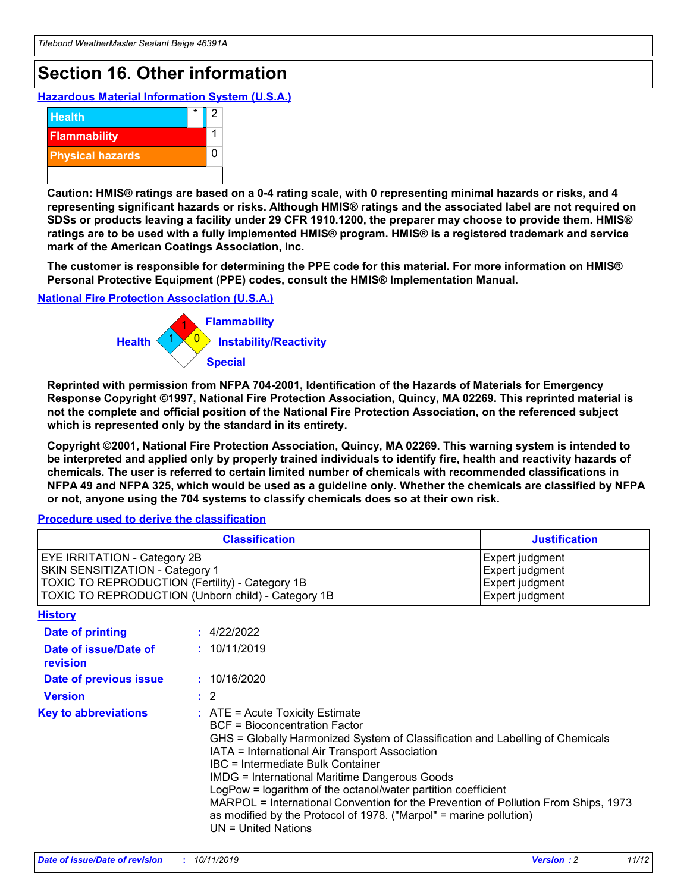# **Section 16. Other information**

**Hazardous Material Information System (U.S.A.)**



**Caution: HMIS® ratings are based on a 0-4 rating scale, with 0 representing minimal hazards or risks, and 4 representing significant hazards or risks. Although HMIS® ratings and the associated label are not required on SDSs or products leaving a facility under 29 CFR 1910.1200, the preparer may choose to provide them. HMIS® ratings are to be used with a fully implemented HMIS® program. HMIS® is a registered trademark and service mark of the American Coatings Association, Inc.**

**The customer is responsible for determining the PPE code for this material. For more information on HMIS® Personal Protective Equipment (PPE) codes, consult the HMIS® Implementation Manual.**

#### **National Fire Protection Association (U.S.A.)**



**Reprinted with permission from NFPA 704-2001, Identification of the Hazards of Materials for Emergency Response Copyright ©1997, National Fire Protection Association, Quincy, MA 02269. This reprinted material is not the complete and official position of the National Fire Protection Association, on the referenced subject which is represented only by the standard in its entirety.**

**Copyright ©2001, National Fire Protection Association, Quincy, MA 02269. This warning system is intended to be interpreted and applied only by properly trained individuals to identify fire, health and reactivity hazards of chemicals. The user is referred to certain limited number of chemicals with recommended classifications in NFPA 49 and NFPA 325, which would be used as a guideline only. Whether the chemicals are classified by NFPA or not, anyone using the 704 systems to classify chemicals does so at their own risk.**

**Procedure used to derive the classification**

| <b>Classification</b>                                                                                                                                                    |                                                                                                                                                  | <b>Justification</b>                                                                                                                                                                                                                                                                                                                                                                                                 |  |
|--------------------------------------------------------------------------------------------------------------------------------------------------------------------------|--------------------------------------------------------------------------------------------------------------------------------------------------|----------------------------------------------------------------------------------------------------------------------------------------------------------------------------------------------------------------------------------------------------------------------------------------------------------------------------------------------------------------------------------------------------------------------|--|
| EYE IRRITATION - Category 2B<br>SKIN SENSITIZATION - Category 1<br>TOXIC TO REPRODUCTION (Fertility) - Category 1B<br>TOXIC TO REPRODUCTION (Unborn child) - Category 1B |                                                                                                                                                  | Expert judgment<br>Expert judgment<br>Expert judgment<br>Expert judgment                                                                                                                                                                                                                                                                                                                                             |  |
| <b>History</b>                                                                                                                                                           |                                                                                                                                                  |                                                                                                                                                                                                                                                                                                                                                                                                                      |  |
| Date of printing                                                                                                                                                         | : 4/22/2022                                                                                                                                      |                                                                                                                                                                                                                                                                                                                                                                                                                      |  |
| Date of issue/Date of<br>revision                                                                                                                                        | : 10/11/2019                                                                                                                                     |                                                                                                                                                                                                                                                                                                                                                                                                                      |  |
| Date of previous issue                                                                                                                                                   | : 10/16/2020                                                                                                                                     |                                                                                                                                                                                                                                                                                                                                                                                                                      |  |
| <b>Version</b>                                                                                                                                                           | $\therefore$ 2                                                                                                                                   |                                                                                                                                                                                                                                                                                                                                                                                                                      |  |
| <b>Key to abbreviations</b>                                                                                                                                              | $\therefore$ ATE = Acute Toxicity Estimate<br><b>BCF</b> = Bioconcentration Factor<br>IBC = Intermediate Bulk Container<br>$UN = United Nations$ | GHS = Globally Harmonized System of Classification and Labelling of Chemicals<br>IATA = International Air Transport Association<br><b>IMDG = International Maritime Dangerous Goods</b><br>LogPow = logarithm of the octanol/water partition coefficient<br>MARPOL = International Convention for the Prevention of Pollution From Ships, 1973<br>as modified by the Protocol of 1978. ("Marpol" = marine pollution) |  |